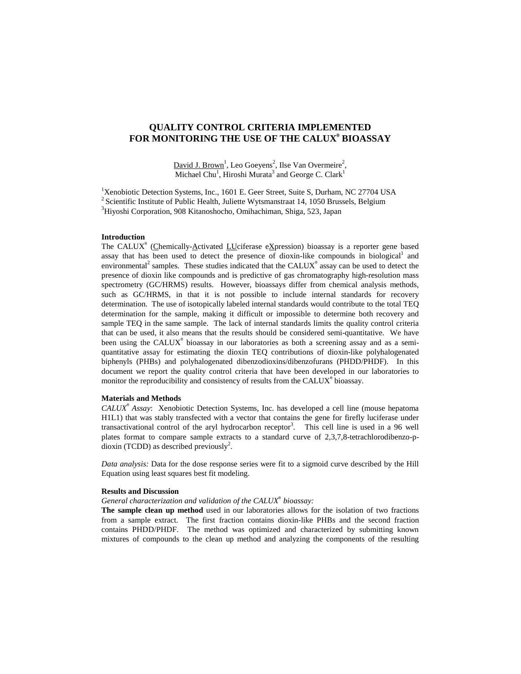# **QUALITY CONTROL CRITERIA IMPLEMENTED FOR MONITORING THE USE OF THE CALUX® BIOASSAY**

David J. Brown<sup>1</sup>, Leo Goeyens<sup>2</sup>, Ilse Van Overmeire<sup>2</sup>, Michael Chu<sup>1</sup>, Hiroshi Murata<sup>3</sup> and George C. Clark<sup>1</sup>

<sup>1</sup>Xenobiotic Detection Systems, Inc., 1601 E. Geer Street, Suite S, Durham, NC 27704 USA <sup>2</sup> Scientific Institute of Public Health, Juliette Wytsmanstraat 14, 1050 Brussels, Belgium 3 Hiyoshi Corporation, 908 Kitanoshocho, Omihachiman, Shiga, 523, Japan

### **Introduction**

The CALUX<sup>®</sup> (Chemically- $\Delta$ ctivated LUciferase eXpression) bioassay is a reporter gene based assay that has been used to detect the presence of dioxin-like compounds in biological<sup>1</sup> and environmental<sup>2</sup> samples. These studies indicated that the CALUX<sup>®</sup> assay can be used to detect the presence of dioxin like compounds and is predictive of gas chromatography high-resolution mass spectrometry (GC/HRMS) results. However, bioassays differ from chemical analysis methods, such as GC/HRMS, in that it is not possible to include internal standards for recovery determination. The use of isotopically labeled internal standards would contribute to the total TEQ determination for the sample, making it difficult or impossible to determine both recovery and sample TEQ in the same sample. The lack of internal standards limits the quality control criteria that can be used, it also means that the results should be considered semi-quantitative. We have been using the CALUX® bioassay in our laboratories as both a screening assay and as a semiquantitative assay for estimating the dioxin TEQ contributions of dioxin-like polyhalogenated biphenyls (PHBs) and polyhalogenated dibenzodioxins/dibenzofurans (PHDD/PHDF). In this document we report the quality control criteria that have been developed in our laboratories to monitor the reproducibility and consistency of results from the CALUX<sup>®</sup> bioassay.

## **Materials and Methods**

*CALUX*®  *Assay*: Xenobiotic Detection Systems, Inc. has developed a cell line (mouse hepatoma H1L1) that was stably transfected with a vector that contains the gene for firefly luciferase under transactivational control of the aryl hydrocarbon receptor<sup>3</sup>. This cell line is used in a 96 well plates format to compare sample extracts to a standard curve of 2,3,7,8-tetrachlorodibenzo-pdioxin (TCDD) as described previously<sup>2</sup>.

*Data analysis:* Data for the dose response series were fit to a sigmoid curve described by the Hill Equation using least squares best fit modeling.

#### **Results and Discussion**

*General characterization and validation of the CALUX*® *bioassay:*

**The sample clean up method** used in our laboratories allows for the isolation of two fractions from a sample extract. The first fraction contains dioxin-like PHBs and the second fraction contains PHDD/PHDF. The method was optimized and characterized by submitting known mixtures of compounds to the clean up method and analyzing the components of the resulting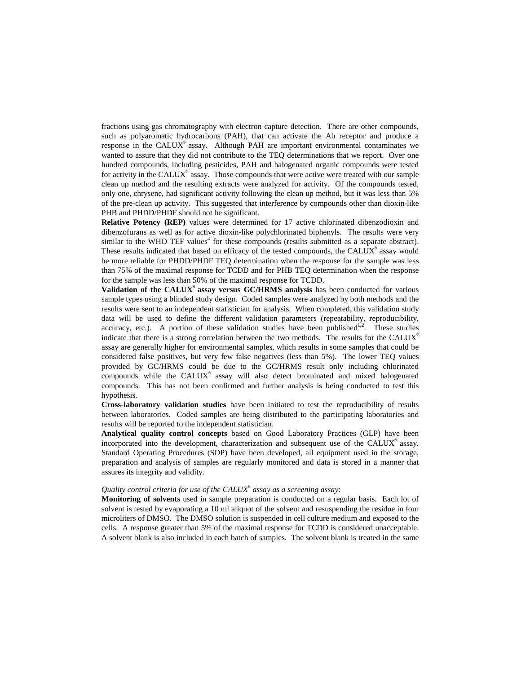fractions using gas chromatography with electron capture detection. There are other compounds, such as polyaromatic hydrocarbons (PAH), that can activate the Ah receptor and produce a response in the CALUX® assay. Although PAH are important environmental contaminates we wanted to assure that they did not contribute to the TEQ determinations that we report. Over one hundred compounds, including pesticides, PAH and halogenated organic compounds were tested for activity in the CALUX® assay. Those compounds that were active were treated with our sample clean up method and the resulting extracts were analyzed for activity. Of the compounds tested, only one, chrysene, had significant activity following the clean up method, but it was less than 5% of the pre-clean up activity. This suggested that interference by compounds other than dioxin-like PHB and PHDD/PHDF should not be significant.

**Relative Potency (REP)** values were determined for 17 active chlorinated dibenzodioxin and dibenzofurans as well as for active dioxin-like polychlorinated biphenyls. The results were very similar to the WHO TEF values<sup>4</sup> for these compounds (results submitted as a separate abstract). These results indicated that based on efficacy of the tested compounds, the CALUX<sup>®</sup> assay would be more reliable for PHDD/PHDF TEQ determination when the response for the sample was less than 75% of the maximal response for TCDD and for PHB TEQ determination when the response for the sample was less than 50% of the maximal response for TCDD.

**Validation of the CALUX® assay versus GC/HRMS analysis** has been conducted for various sample types using a blinded study design. Coded samples were analyzed by both methods and the results were sent to an independent statistician for analysis. When completed, this validation study data will be used to define the different validation parameters (repeatability, reproducibility, accuracy, etc.). A portion of these validation studies have been published<sup>1,2</sup>. These studies indicate that there is a strong correlation between the two methods. The results for the CALUX<sup>®</sup> assay are generally higher for environmental samples, which results in some samples that could be considered false positives, but very few false negatives (less than 5%). The lower TEQ values provided by GC/HRMS could be due to the GC/HRMS result only including chlorinated compounds while the CALUX® assay will also detect brominated and mixed halogenated compounds. This has not been confirmed and further analysis is being conducted to test this hypothesis.

**Cross-laboratory validation studies** have been initiated to test the reproducibility of results between laboratories. Coded samples are being distributed to the participating laboratories and results will be reported to the independent statistician.

**Analytical quality control concepts** based on Good Laboratory Practices (GLP) have been incorporated into the development, characterization and subsequent use of the CALUX<sup>®</sup> assay. Standard Operating Procedures (SOP) have been developed, all equipment used in the storage, preparation and analysis of samples are regularly monitored and data is stored in a manner that assures its integrity and validity.

## *Quality control criteria for use of the CALUX*® *assay as a screening assay*:

**Monitoring of solvents** used in sample preparation is conducted on a regular basis. Each lot of solvent is tested by evaporating a 10 ml aliquot of the solvent and resuspending the residue in four microliters of DMSO. The DMSO solution is suspended in cell culture medium and exposed to the cells. A response greater than 5% of the maximal response for TCDD is considered unacceptable. A solvent blank is also included in each batch of samples. The solvent blank is treated in the same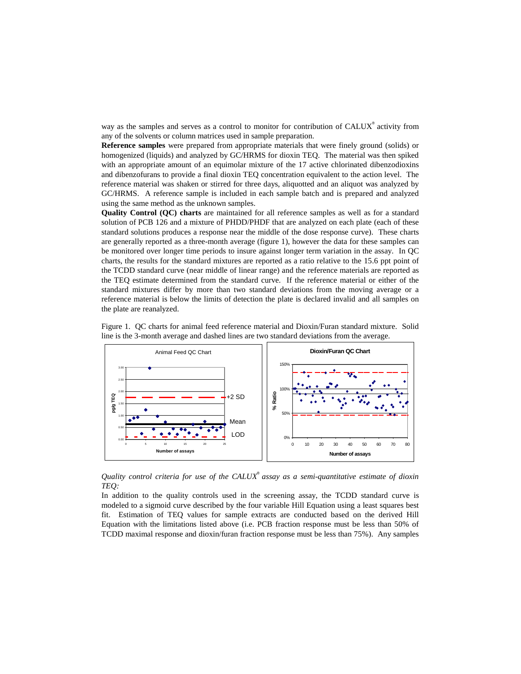way as the samples and serves as a control to monitor for contribution of CALUX<sup>®</sup> activity from any of the solvents or column matrices used in sample preparation.

**Reference samples** were prepared from appropriate materials that were finely ground (solids) or homogenized (liquids) and analyzed by GC/HRMS for dioxin TEQ. The material was then spiked with an appropriate amount of an equimolar mixture of the 17 active chlorinated dibenzodioxins and dibenzofurans to provide a final dioxin TEQ concentration equivalent to the action level. The reference material was shaken or stirred for three days, aliquotted and an aliquot was analyzed by GC/HRMS. A reference sample is included in each sample batch and is prepared and analyzed using the same method as the unknown samples.

**Quality Control (QC) charts** are maintained for all reference samples as well as for a standard solution of PCB 126 and a mixture of PHDD/PHDF that are analyzed on each plate (each of these standard solutions produces a response near the middle of the dose response curve). These charts are generally reported as a three-month average (figure 1), however the data for these samples can be monitored over longer time periods to insure against longer term variation in the assay. In QC charts, the results for the standard mixtures are reported as a ratio relative to the 15.6 ppt point of the TCDD standard curve (near middle of linear range) and the reference materials are reported as the TEQ estimate determined from the standard curve. If the reference material or either of the standard mixtures differ by more than two standard deviations from the moving average or a reference material is below the limits of detection the plate is declared invalid and all samples on the plate are reanalyzed.



Figure 1. QC charts for animal feed reference material and Dioxin/Furan standard mixture. Solid line is the 3-month average and dashed lines are two standard deviations from the average.

*Quality control criteria for use of the CALUX*® *assay as a semi-quantitative estimate of dioxin TEQ:* 

In addition to the quality controls used in the screening assay, the TCDD standard curve is modeled to a sigmoid curve described by the four variable Hill Equation using a least squares best fit. Estimation of TEQ values for sample extracts are conducted based on the derived Hill Equation with the limitations listed above (i.e. PCB fraction response must be less than 50% of TCDD maximal response and dioxin/furan fraction response must be less than 75%). Any samples